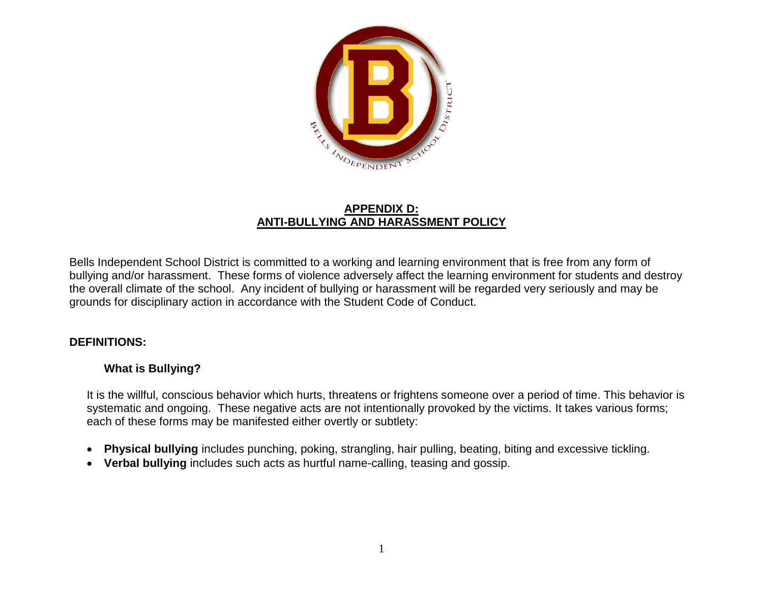

## **APPENDIX D: ANTI-BULLYING AND HARASSMENT POLICY**

Bells Independent School District is committed to a working and learning environment that is free from any form of bullying and/or harassment. These forms of violence adversely affect the learning environment for students and destroy the overall climate of the school. Any incident of bullying or harassment will be regarded very seriously and may be grounds for disciplinary action in accordance with the Student Code of Conduct.

# **DEFINITIONS:**

# **What is Bullying?**

It is the willful, conscious behavior which hurts, threatens or frightens someone over a period of time. This behavior is systematic and ongoing. These negative acts are not intentionally provoked by the victims. It takes various forms; each of these forms may be manifested either overtly or subtlety:

- **Physical bullying** includes punching, poking, strangling, hair pulling, beating, biting and excessive tickling.
- **Verbal bullying** includes such acts as hurtful name-calling, teasing and gossip.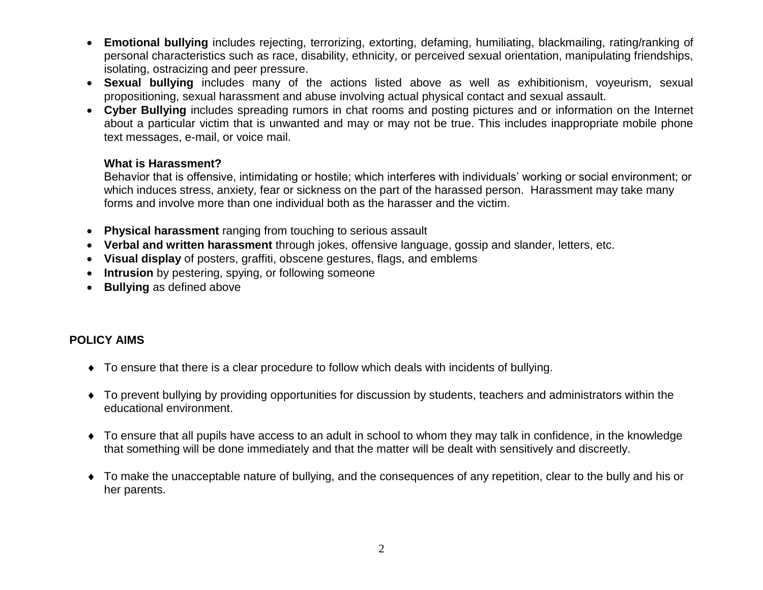- **Emotional bullying** includes rejecting, terrorizing, extorting, defaming, humiliating, blackmailing, rating/ranking of personal characteristics such as race, disability, ethnicity, or perceived sexual orientation, manipulating friendships, isolating, ostracizing and peer pressure.
- **Sexual bullying** includes many of the actions listed above as well as exhibitionism, voyeurism, sexual propositioning, sexual harassment and abuse involving actual physical contact and sexual assault.
- **Cyber Bullying** includes spreading rumors in chat rooms and posting pictures and or information on the Internet about a particular victim that is unwanted and may or may not be true. This includes inappropriate mobile phone text messages, e-mail, or voice mail.

#### **What is Harassment?**

Behavior that is offensive, intimidating or hostile; which interferes with individuals' working or social environment; or which induces stress, anxiety, fear or sickness on the part of the harassed person. Harassment may take many forms and involve more than one individual both as the harasser and the victim.

- **Physical harassment** ranging from touching to serious assault
- **Verbal and written harassment** through jokes, offensive language, gossip and slander, letters, etc.
- **Visual display** of posters, graffiti, obscene gestures, flags, and emblems
- **Intrusion** by pestering, spying, or following someone
- **Bullying** as defined above

# **POLICY AIMS**

- To ensure that there is a clear procedure to follow which deals with incidents of bullying.
- To prevent bullying by providing opportunities for discussion by students, teachers and administrators within the educational environment.
- To ensure that all pupils have access to an adult in school to whom they may talk in confidence, in the knowledge that something will be done immediately and that the matter will be dealt with sensitively and discreetly.
- To make the unacceptable nature of bullying, and the consequences of any repetition, clear to the bully and his or her parents.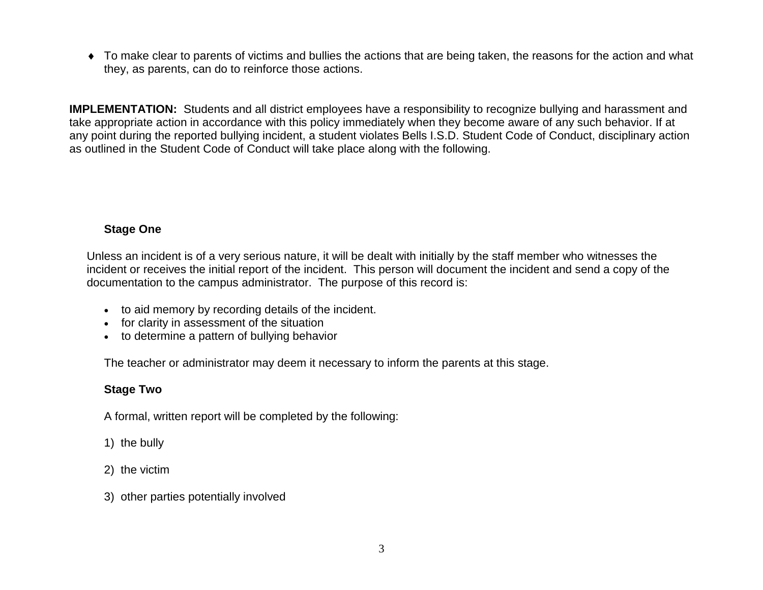To make clear to parents of victims and bullies the actions that are being taken, the reasons for the action and what they, as parents, can do to reinforce those actions.

**IMPLEMENTATION:** Students and all district employees have a responsibility to recognize bullying and harassment and take appropriate action in accordance with this policy immediately when they become aware of any such behavior. If at any point during the reported bullying incident, a student violates Bells I.S.D. Student Code of Conduct, disciplinary action as outlined in the Student Code of Conduct will take place along with the following.

### **Stage One**

Unless an incident is of a very serious nature, it will be dealt with initially by the staff member who witnesses the incident or receives the initial report of the incident. This person will document the incident and send a copy of the documentation to the campus administrator. The purpose of this record is:

- to aid memory by recording details of the incident.
- for clarity in assessment of the situation
- to determine a pattern of bullying behavior

The teacher or administrator may deem it necessary to inform the parents at this stage.

### **Stage Two**

A formal, written report will be completed by the following:

- 1) the bully
- 2) the victim
- 3) other parties potentially involved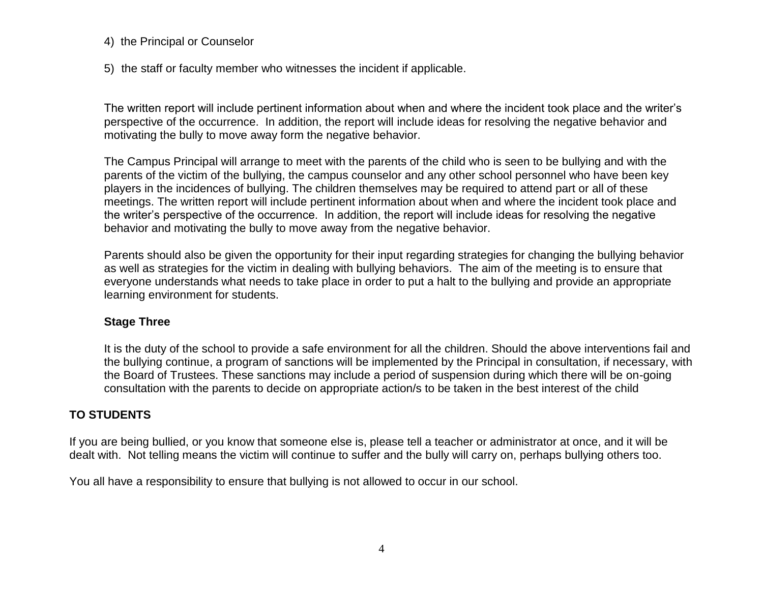#### 4) the Principal or Counselor

5) the staff or faculty member who witnesses the incident if applicable.

The written report will include pertinent information about when and where the incident took place and the writer's perspective of the occurrence. In addition, the report will include ideas for resolving the negative behavior and motivating the bully to move away form the negative behavior.

The Campus Principal will arrange to meet with the parents of the child who is seen to be bullying and with the parents of the victim of the bullying, the campus counselor and any other school personnel who have been key players in the incidences of bullying. The children themselves may be required to attend part or all of these meetings. The written report will include pertinent information about when and where the incident took place and the writer's perspective of the occurrence. In addition, the report will include ideas for resolving the negative behavior and motivating the bully to move away from the negative behavior.

Parents should also be given the opportunity for their input regarding strategies for changing the bullying behavior as well as strategies for the victim in dealing with bullying behaviors. The aim of the meeting is to ensure that everyone understands what needs to take place in order to put a halt to the bullying and provide an appropriate learning environment for students.

#### **Stage Three**

It is the duty of the school to provide a safe environment for all the children. Should the above interventions fail and the bullying continue, a program of sanctions will be implemented by the Principal in consultation, if necessary, with the Board of Trustees. These sanctions may include a period of suspension during which there will be on-going consultation with the parents to decide on appropriate action/s to be taken in the best interest of the child

### **TO STUDENTS**

If you are being bullied, or you know that someone else is, please tell a teacher or administrator at once, and it will be dealt with. Not telling means the victim will continue to suffer and the bully will carry on, perhaps bullying others too.

You all have a responsibility to ensure that bullying is not allowed to occur in our school.